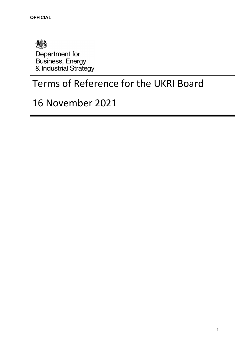想象 Department for Business, Energy<br>& Industrial Strategy

# Terms of Reference for the UKRI Board

# 16 November 2021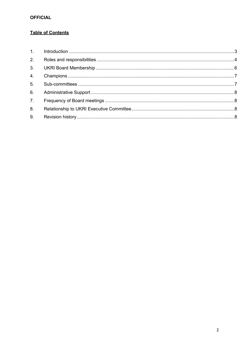### **Table of Contents**

| 2. |  |
|----|--|
| 3. |  |
| 4. |  |
| 5. |  |
| 6. |  |
| 7. |  |
| 8. |  |
| 9. |  |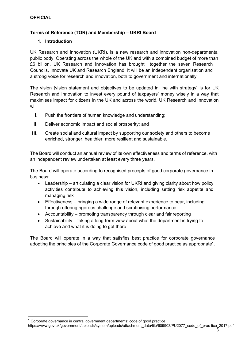#### **Terms of Reference (TOR) and Membership – UKRI Board**

#### **1. Introduction**

UK Research and Innovation (UKRI), is a new research and innovation non-departmental public body. Operating across the whole of the UK and with a combined budget of more than £6 billion, UK Research and Innovation has brought together the seven Research Councils, Innovate UK and Research England. It will be an independent organisation and a strong voice for research and innovation, both to government and internationally.

The vision [vision statement and objectives to be updated in line with strategy] is for UK Research and Innovation to invest every pound of taxpayers' money wisely in a way that maximises impact for citizens in the UK and across the world. UK Research and Innovation will:

- **i.** Push the frontiers of human knowledge and understanding;
- **ii.** Deliver economic impact and social prosperity; and
- **iii.** Create social and cultural impact by supporting our society and others to become enriched, stronger, healthier, more resilient and sustainable.

The Board will conduct an annual review of its own effectiveness and terms of reference, with an independent review undertaken at least every three years.

The Board will operate according to recognised precepts of good corporate governance in business:

- Leadership articulating a clear vision for UKRI and giving clarity about how policy activities contribute to achieving this vision, including setting risk appetite and managing risk
- Effectiveness bringing a wide range of relevant experience to bear, including through offering rigorous challenge and scrutinising performance
- Accountability promoting transparency through clear and fair reporting
- Sustainability taking a long-term view about what the department is trying to achieve and what it is doing to get there

The Board will operate in a way that satisfies best practice for corporate governance adopting the principles of the Corporate Governance code of good practice as appropriate1.

https://www.gov.uk/government/uploads/system/uploads/attachment\_data/file/609903/PU2077\_code\_of\_prac tice\_2017.pdf

 $1$  Corporate governance in central government departments: code of good practice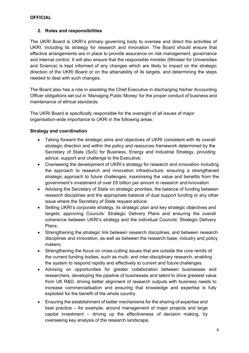#### **2. Roles and responsibilities**

The UKRI Board is UKRI's primary governing body to oversee and direct the activities of UKRI, including its strategy for research and innovation. The Board should ensure that effective arrangements are in place to provide assurance on risk management, governance and internal control. It will also ensure that the responsible minister (Minister for Universities and Science) is kept informed of any changes which are likely to impact on the strategic direction of the UKRI Board or on the attainability of its targets, and determining the steps needed to deal with such changes.

The Board also has a role in assisting the Chief Executive in discharging his/her Accounting Officer obligations set out in 'Managing Public Money' for the proper conduct of business and maintenance of ethical standards.

The UKRI Board is specifically responsible for the oversight of all issues of major organisation-wide importance to UKRI in the following areas:

#### **Strategy and coordination**

- Taking forward the strategic aims and objectives of UKRI consistent with its overall strategic direction and within the policy and resources framework determined by the Secretary of State (SoS) for Business, Energy and Industrial Strategy, providing advice, support and challenge to the Executive;
- Overseeing the development of UKRI's strategy for research and innovation including the approach to research and innovation infrastructure; ensuring a strengthened strategic approach to future challenges; maximising the value and benefits from the government's investment of over £6 billion per annum in research and innovation
- Advising the Secretary of State on strategic priorities, the balance of funding between research disciplines and the appropriate balance of dual support funding or any other issue where the Secretary of State request advice;
- Setting UKRI's corporate strategy, its strategic plan and key strategic objectives and targets; approving Councils' Strategic Delivery Plans and ensuring the overall coherence between UKRI's strategy and the individual Councils' Strategic Delivery Plans;
- Strengthening the strategic link between research disciplines, and between research disciplines and innovation, as well as between the research base, industry and policy makers;
- Strengthening the focus on cross-cutting issues that are outside the core remits of the current funding bodies, such as multi- and inter-disciplinary research, enabling the system to respond rapidly and effectively to current and future challenges.
- Advising on opportunities for greater collaboration between businesses and researchers, developing the pipeline of businesses and talent to drive greatest value from UK R&D, driving better alignment of research outputs with business needs to increase commercialisation and ensuring that knowledge and expertise is fully exploited for the benefit of the whole country.
- Ensuring the establishment of better mechanisms for the sharing of expertise and best practice – for example, around management of major projects and large capital investment – driving up the effectiveness of decision making, by overseeing key analysis of the research landscape.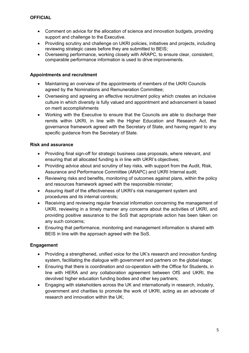- Comment on advice for the allocation of science and innovation budgets, providing support and challenge to the Executive.
- Providing scrutiny and challenge on UKRI policies, initiatives and projects, including reviewing strategic cases before they are submitted to BEIS;
- Overseeing performance, working closely with ARAPC, to ensure clear, consistent, comparable performance information is used to drive improvements.

#### **Appointments and recruitment**

- Maintaining an overview of the appointments of members of the UKRI Councils agreed by the Nominations and Remuneration Committee;
- Overseeing and agreeing an effective recruitment policy which creates an inclusive culture in which diversity is fully valued and appointment and advancement is based on merit accomplishments
- Working with the Executive to ensure that the Councils are able to discharge their remits within UKRI, in line with the Higher Education and Research Act, the governance framework agreed with the Secretary of State, and having regard to any specific guidance from the Secretary of State.

#### **Risk and assurance**

- Providing final sign-off for strategic business case proposals, where relevant, and ensuring that all allocated funding is in line with UKRI's objectives;
- Providing advice about and scrutiny of key risks, with support from the Audit, Risk, Assurance and Performance Committee (ARAPC) and UKRI Internal audit;
- Reviewing risks and benefits, monitoring of outcomes against plans, within the policy and resources framework agreed with the responsible minister;
- Assuring itself of the effectiveness of UKRI's risk management system and procedures and its internal controls;
- Receiving and reviewing regular financial information concerning the management of UKRI, reviewing in a timely manner any concerns about the activities of UKRI, and providing positive assurance to the SoS that appropriate action has been taken on any such concerns;
- Ensuring that performance, monitoring and management information is shared with BEIS in line with the approach agreed with the SoS.

#### **Engagement**

- Providing a strengthened, unified voice for the UK's research and innovation funding system, facilitating the dialogue with government and partners on the global stage;
- Ensuring that there is coordination and co-operation with the Office for Students, in line with HERA and any collaboration agreement between OfS and UKRI, the devolved higher education funding bodies and other key partners;
- Engaging with stakeholders across the UK and internationally in research, industry, government and charities to promote the work of UKRI, acting as an advocate of research and innovation within the UK;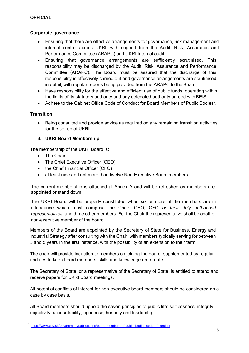#### **Corporate governance**

- Ensuring that there are effective arrangements for governance, risk management and internal control across UKRI, with support from the Audit, Risk, Assurance and Performance Committee (ARAPC) and UKRI Internal audit;
- Ensuring that governance arrangements are sufficiently scrutinised. This responsibility may be discharged by the Audit, Risk, Assurance and Performance Committee (ARAPC). The Board must be assured that the discharge of this responsibility is effectively carried out and governance arrangements are scrutinised in detail, with regular reports being provided from the ARAPC to the Board;
- Have responsibility for the effective and efficient use of public funds, operating within the limits of its statutory authority and any delegated authority agreed with BEIS
- Adhere to the Cabinet Office Code of Conduct for Board Members of Public Bodies<sup>2</sup>.

#### **Transition**

 Being consulted and provide advice as required on any remaining transition activities for the set-up of UKRI.

#### **3. UKRI Board Membership**

The membership of the UKRI Board is:

- The Chair
- The Chief Executive Officer (CEO)
- the Chief Financial Officer (CFO)
- at least nine and not more than twelve Non-Executive Board members

The current membership is attached at Annex A and will be refreshed as members are appointed or stand down.

The UKRI Board will be properly constituted when six or more of the members are in attendance which must comprise the Chair, CEO, CFO *or their duly authorised representatives*, and three other members. For the Chair the representative shall be another non-executive member of the board.

Members of the Board are appointed by the Secretary of State for Business, Energy and Industrial Strategy after consulting with the Chair, with members typically serving for between 3 and 5 years in the first instance, with the possibility of an extension to their term.

The chair will provide induction to members on joining the board, supplemented by regular updates to keep board members' skills and knowledge up-to-date

The Secretary of State, or a representative of the Secretary of State, is entitled to attend and receive papers for UKRI Board meetings.

All potential conflicts of interest for non-executive board members should be considered on a case by case basis.

All Board members should uphold the seven principles of public life: selflessness, integrity, objectivity, accountability, openness, honesty and leadership.

<sup>2</sup> https://www.gov.uk/government/publications/board-members-of-public-bodies-code-of-conduct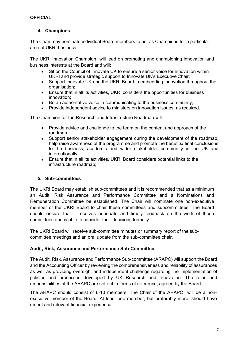#### **4. Champions**

The Chair may nominate individual Board members to act as Champions for a particular area of UKRI business.

The UKRI Innovation Champion will lead on promoting and championing innovation and business interests at the Board and will:

- Sit on the Council of Innovate UK to ensure a senior voice for innovation within UKRI and provide strategic support to Innovate UK's Executive Chair;
- Support Innovate UK and the UKRI Board in embedding innovation throughout the organisation;
- Ensure that in all its activities, UKRI considers the opportunities for business innovation;
- Be an authoritative voice in communicating to the business community;
- Provide independent advice to ministers on innovation issues, as required.

The Champion for the Research and Infrastructure Roadmap will:

- Provide advice and challenge to the team on the content and approach of the roadmap
- Support senior stakeholder engagement during the development of the roadmap, help raise awareness of the programme and promote the benefits/ final conclusions to the business, academic and wider stakeholder community in the UK and internationally;
- Ensure that in all its activities, UKRI Board considers potential links to the infrastructure roadmap;

#### **5. Sub-committees**

The UKRI Board may establish sub-committees and it is recommended that as a minimum an Audit, Risk Assurance and Performance Committee and a Nominations and Remuneration Committee be established. The Chair will nominate one non-executive member of the UKRI Board to chair these committees and subcommittees. The Board should ensure that it receives adequate and timely feedback on the work of those committees and is able to consider their decisions formally.

The UKRI Board will receive sub-committee minutes or summary report of the subcommittee meetings and an oral update from the sub-committee chair.

#### **Audit, Risk, Assurance and Performance Sub-Committee**

The Audit, Risk, Assurance and Performance Sub-committee (ARAPC) will support the Board and the Accounting Officer by reviewing the comprehensiveness and reliability of assurances as well as providing oversight and independent challenge regarding the implementation of policies and processes developed by UK Research and Innovation. The roles and responsibilities of the ARAPC are set out in terms of reference, agreed by the Board.

The ARAPC should consist of 6-10 members. The Chair of the ARAPC will be a nonexecutive member of the Board. At least one member, but preferably more, should have recent and relevant financial experience.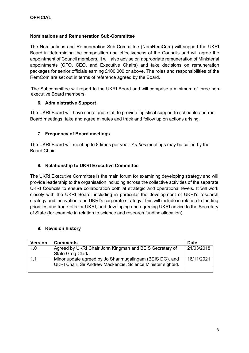#### **Nominations and Remuneration Sub-Committee**

The Nominations and Remuneration Sub-Committee (NomRemCom) will support the UKRI Board in determining the composition and effectiveness of the Councils and will agree the appointment of Council members. It will also advise on appropriate remuneration of Ministerial appointments (CFO, CEO, and Executive Chairs) and take decisions on remuneration packages for senior officials earning £100,000 or above. The roles and responsibilities of the RemCom are set out in terms of reference agreed by the Board.

The Subcommittee will report to the UKRI Board and will comprise a minimum of three nonexecutive Board members.

#### **6. Administrative Support**

The UKRI Board will have secretariat staff to provide logistical support to schedule and run Board meetings, take and agree minutes and track and follow up on actions arising.

#### **7. Frequency of Board meetings**

The UKRI Board will meet up to 8 times per year. *Ad hoc* meetings may be called by the Board Chair.

#### **8. Relationship to UKRI Executive Committee**

The UKRI Executive Committee is the main forum for examining developing strategy and will provide leadership to the organisation including across the collective activities of the separate UKRI Councils to ensure collaboration both at strategic and operational levels. It will work closely with the UKRI Board, including in particular the development of UKRI's research strategy and innovation, and UKRI's corporate strategy. This will include in relation to funding priorities and trade-offs for UKRI, and developing and agreeing UKRI advice to the Secretary of State (for example in relation to science and research funding allocation).

#### **9. Revision history**

| <b>Version</b> | <b>Comments</b>                                             | <b>Date</b> |
|----------------|-------------------------------------------------------------|-------------|
| 1.0            | Agreed by UKRI Chair John Kingman and BEIS Secretary of     | 21/03/2018  |
|                | State Greg Clark.                                           |             |
| 1.1            | Minor update agreed by Jo Shanmugalingam (BEIS DG), and     | 16/11/2021  |
|                | UKRI Chair, Sir Andrew Mackenzie, Science Minister sighted. |             |
|                |                                                             |             |